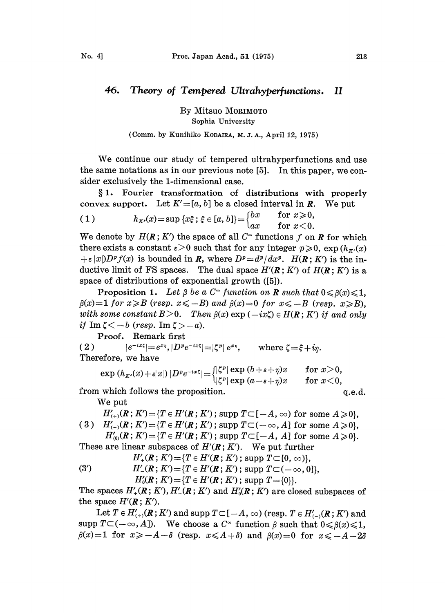## 46. Theory of Tempered Ultrahyperfunctions. II

By Mitsuo MORIMOTO Sophia University

## (Comm. by Kunihiko KODAIRA, M. J. A., April 12, 1975)

We continue our study of tempered ultrahyperfunctions and use the same notations as in our previous note [5]. In this paper, we consider exclusively the 1-dimensional case.

1. Fourier transformation of distributions with properly convex support. Let  $K'=[a, b]$  be a closed interval in R. We put

(1) 
$$
h_{K'}(x) = \sup \{x\xi; \xi \in [a, b]\} = \begin{cases} bx & \text{for } x \geq 0, \\ ax & \text{for } x < 0. \end{cases}
$$

We denote by  $H(R; K')$  the space of all  $C^{\infty}$  functions f on **R** for which there exists a constant  $\varepsilon > 0$  such that for any integer  $p \geq 0$ ,  $\exp(h_{\kappa}(x))$  $+\varepsilon |x|D^p f(x)$  is bounded in R, where  $D^p = d^p/dx^p$ .  $H(R: K')$  is the inductive limit of FS spaces. The dual space  $H'(R; K')$  of  $H(R; K')$  is a space of distributions of exponential growth ([5]).

Proposition 1. Let  $\beta$  be a  $C^{\infty}$  function on **R** such that  $0 \leq \beta(x) \leq 1$ ,  $\beta(x)=1$  for  $x\geqslant B$  (resp.  $x\leqslant -B$ ) and  $\beta(x)=0$  for  $x\leqslant -B$  (resp.  $x\geqslant B$ ), with some constant  $B > 0$ . Then  $\beta(x)$  exp  $(-ix\zeta) \in H(R: K')$  if and only if  $\text{Im } \zeta < -b$  (resp.  $\text{Im } \zeta > -a$ ).

Proof. Remark first

( 2 )  $|e^{-ix\zeta}|=e^{x\eta}, |D^p e^{-ix\zeta}|=|\zeta^p|e^{x\eta}, \text{ where } \zeta=\xi+i\eta.$ Therefore, we have

$$
\exp\left(h_{K}(x)+\varepsilon|x|\right)|D^{p}e^{-ix\xi}|=\begin{cases} |\zeta^{p}|\exp\left(b+\varepsilon+p\right)x & \text{for } x>0, \\ |\zeta^{p}|\exp\left(a-\varepsilon+p\right)x & \text{for } x<0, \end{cases}
$$

from which follows the proposition.

$$
\quad \text{q.e.d.}
$$

We put

 $H'_{(+)}(R; K') = {T \in H'(\mathbf{R}; K')$ ; supp  $T \subset [-A, \infty)$  for some  $A \geq 0$ , ( 3 )  $H'_{(-)}(R; K') = {T \in H'(R; K')$ ; supp  $T\subset (-\infty, A]$  for some  $A \geq 0$ ,

 $H'_{(0)}(R; K') = \{T \in H'(R; K');$  supp  $T \subset [-A, A]$  for some  $A \geq 0\}.$ 

These are linear subspaces of  $H'(\mathbf{R}; K')$ . We put further  $H'_{+}(\mathbf{R}; K') = \{T \in H'(\mathbf{R}; K')\; ; \; \text{supp } T \subset [0, \infty)\},$ 

(3') 
$$
H'_{-}(R; K') = \{T \in H'(R; K')\}
$$
, supp  $T \subseteq \{0, \infty\}$ ,  
 $H'_{0}(R; K') = \{T \in H'(R; K')\}$ , supp  $T \subseteq \{-\infty, 0\}$ ,  
 $H'_{0}(R; K') = \{T \in H'(R; K')\}$ , supp  $T = \{0\}$ .

The spaces  $H'_{+}(\mathbf{R}; K'), H'_{-}(\mathbf{R}; K')$  and  $H'_{0}(\mathbf{R}; K')$  are closed subspaces of the space  $H'(\mathbf{R}; K')$ .

Let  $T \in H'_{(+)}(R; K')$  and supp  $T \subset [-A, \infty)$  (resp.  $T \in H'_{(-)}(R; K')$  and supp  $T\subset (-\infty, A]$ ). We choose a  $C^{\infty}$  function  $\beta$  such that  $0 \le \beta(x) \le 1$ ,  $\beta(x)=1$  for  $x \ge -A-\delta$  (resp.  $x \le A+\delta$ ) and  $\beta(x)=0$  for  $x \le -A-2\delta$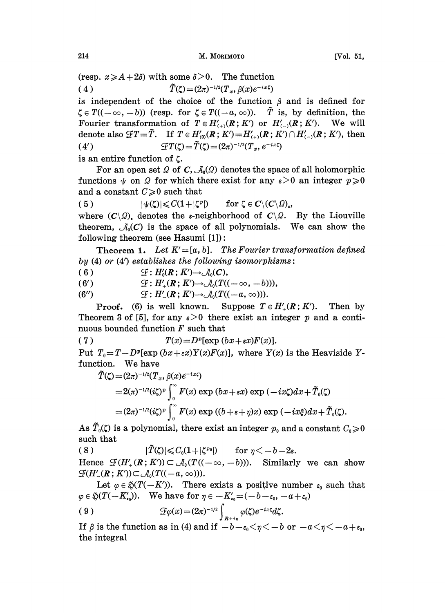(resp.  $x \ge A + 2\delta$ ) with some  $\delta > 0$ . The function ( 4 )  $\tilde{T}(\zeta)=(2\pi)^{-1/2}(T_x, \beta(x)e^{-ix\zeta})$ 

is independent of the choice of the function  $\beta$  and is defined for  $\zeta \in T((-\infty, -b))$  (resp. for  $\zeta \in T((-a, \infty))$ .  $\tilde{T}$  is, by definition, the Fourier transformation of  $T \in H'_{(+)}(R; K')$  or  $H'_{(-)}(R; K')$ . We will denote also  $\mathcal{F}T=\tilde{T}$ . If  $T \in H'_{(0)}(R; K') = H'_{(+)}(R; K') \cap H'_{(-)}(R; K')$ , then (4')  $\mathcal{F}T(\zeta) = \tilde{T}(\zeta) = (2\pi)^{-1/2}(T_x, e^{-ix\zeta})$ 

is an entire function of C.

For an open set  $\Omega$  of C,  $\mathcal{A}_{0}(\Omega)$  denotes the space of all holomorphic functions  $\psi$  on  $\Omega$  for which there exist for any  $\varepsilon > 0$  an integer  $p \geqslant 0$ and a constant  $C\geqslant 0$  such that

(5)  $|\psi(\zeta)| \leqslant C(1+|\zeta^p|)$  for  $\zeta \in C\setminus (C\setminus \Omega)$ ,

where  $(C\setminus Q)$ , denotes the  $\varepsilon$ -neighborhood of  $C\setminus Q$ . By the Liouville theorem,  $\mathcal{A}_0(C)$  is the space of all polynomials. We can show the following theorem (see Hasumi  $[1]$ ):

Theorem 1. Let  $K' = [a, b]$ . The Fourier transformation defined by  $(4)$  or  $(4')$  establishes the following isomorphisms:

( 6 )  $\mathcal{F}: H'_{0}(R; K') \rightarrow \mathcal{A}_{0}(C),$ 

 $\mathscr{L}: H_0(K; K) \rightarrow \mathscr{A}_0(C),$ <br> $\mathscr{L}: H'_+(R; K') \rightarrow \mathscr{A}_0(T((-\infty, -b))),$ 

(6')  $2^t$ :<br>(6'')  $5^t$  $\mathcal{F}: H'_{-}(R; K') \rightarrow \mathcal{A}_{0}(T((-a, \infty))).$ 

(6")  $\mathcal{L}: H'_{-}(R; K') \rightarrow \mathcal{A}_{0}(T((-a, \infty)))$ .<br>Proof. (6) is well known. Suppose  $T \in H'_{+}(R; K')$ . Then by **Proof.** (6) is well known. Suppose  $T \in H'_{+}(R; K')$ . Then by Theorem 3 of [5], for any  $\varepsilon > 0$  there exist an integer p and a continuous bounded function  $F$  such that

( 7 )  $T(x) = D^p[\exp(bx + \varepsilon x)F(x)].$ Put  $T_0 = T - D^p[\exp((bx + \epsilon x)Y(x)F(x))]$ , where  $Y(x)$  is the Heaviside Yfunction. We have

$$
\tilde{T}(\zeta) = (2\pi)^{-1/2} (T_x, \beta(x)e^{-ix\zeta})
$$
\n
$$
= 2(\pi)^{-1/2} (i\zeta)^p \int_0^\infty F(x) \exp(bx + \varepsilon x) \exp(-ix\zeta) dx + \tilde{T}_0(\zeta)
$$
\n
$$
= (2\pi)^{-1/2} (i\zeta)^p \int_0^\infty F(x) \exp((b + \varepsilon + \eta)x) \exp(-ix\xi) dx + \tilde{T}_0(\zeta).
$$

As  $\tilde{T}_0(\zeta)$  is a polynomial, there exist an integer  $p_0$  and a constant  $C_0 \geq 0$ such that

( 8 )  $|\tilde{T}(\zeta)| \leqslant C_0(1+|\zeta^{p_0}|)$  for  $\eta \leq -b-2\varepsilon$ . Hence  $\mathcal{F}(H'_{+}(\mathbf{R};K')) \subset \mathcal{A}_{0}(T((-\infty,-b)))$ . Similarly we can show  $\mathcal{F}(H'_{-}(R; K')) \subset \mathcal{A}_0(T((-a, \infty))).$ 

Let  $\varphi \in \mathfrak{D}(T(-K'))$ . There exists a positive number  $\varepsilon_0$  such that  $\varphi \in \mathfrak{F}(T(-K_{\epsilon_0}'))$ . We have for  $\eta \in -K_{\epsilon_0}'=(-b-\varepsilon_0,-a+\varepsilon_0)$ 

$$
(9) \hspace{3.1em} \mathscr{F}\varphi(x) = (2\pi)^{-1/2} \int_{R+i\eta} \varphi(\zeta) e^{-ix\zeta} d\zeta.
$$

If  $\beta$  is the function as in (4) and if  $-b-\epsilon_0\leq \eta \leq -b$  or  $-a\leq \eta \leq -a+\epsilon_0$ , the integral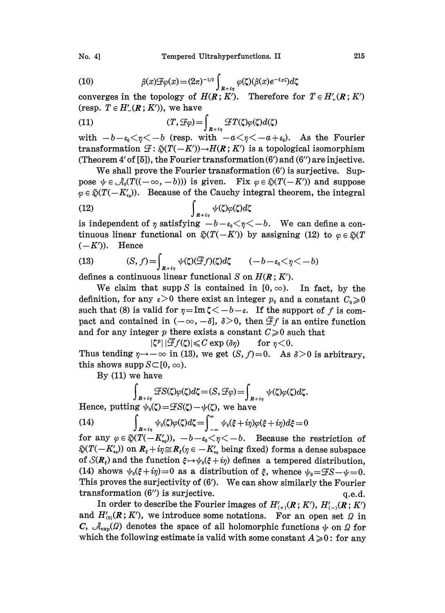(10) 
$$
\beta(x)\mathcal{F}\varphi(x) = (2\pi)^{-1/2} \int_{\mathbb{R}+i\eta} \varphi(\zeta)(\beta(x)e^{-ix\zeta})d\zeta
$$

converges in the topology of  $H(R; K')$ . Therefore for  $T \in H'_{+}(R; K')$ 

(resp. 
$$
T \in H'_{-}(\mathbf{R}; K')
$$
), we have  
(11) 
$$
(T, \mathcal{F}\varphi) = \int_{\mathbf{R}+i\eta} \mathcal{F}T(\zeta)\varphi(\zeta)d(\zeta)
$$

with  $-b-\epsilon_0<\eta<-b$  (resp. with  $-a<\eta<-a+\epsilon_0$ ). As the Fourier transformation  $\mathcal{F}: \mathcal{G}(T(-K')) \rightarrow H(R; K')$  is a topological isomorphism (Theorem 4' of [5]), the Fourier transformation (6') and (6'') are injective. transformation  $\mathcal{F}: \mathfrak{H}(T(-K')) \rightarrow H(R;K')$  is a topological isomorphism

We shall prove the Fourier transformation  $(6')$  is surjective. Suppose  $\psi \in \mathcal{A}_0(T((-\infty, -b)))$  is given. Fix  $\varphi \in \mathfrak{H}(T(-K'))$  and suppose  $\varphi \in \mathfrak{H}(T(-K'_{\epsilon_0}))$ . Because of the Cauchy integral theorem, the integral  $\int_{R+i\eta}$ 

is independent of  $\eta$  satisfying  $-b-\epsilon_0 < \eta < -b$ . We can define a tinuous linear functional on  $\mathfrak{D}(T(-K'))$  by assigning (12) to  $\varphi \in \mathfrak{D}(T)$  $(-K')$ ). Hence

(13) 
$$
(S, f) = \int_{R+i\eta} \psi(\zeta)(\overline{\mathcal{F}}f)(\zeta) d\zeta \qquad (-b - \varepsilon_0 < \eta < -b)
$$

defines a continuous linear functional S on  $H(R; K')$ .

We claim that supp S is contained in  $[0, \infty)$ . In fact, by the definition, for any  $\varepsilon > 0$  there exist an integer  $p_0$  and a constant  $C_0 \geq 0$ such that (8) is valid for  $\eta = \text{Im } \zeta < -b - \varepsilon$ . If the support of f is comsuch that (8) is valid for  $\eta = \text{Im } \zeta < -0 - \varepsilon$ . It the support of f is compact and contained in  $(-\infty, -\delta]$ ,  $\delta > 0$ , then  $\overline{\mathcal{F}}f$  is an entire function and for any integer p there exists a constant  $C \ge 0$  such th

 $|\zeta^p| |\overline{\mathcal{F}}f(\zeta)| \leqslant C \exp{(\delta \eta)}$  for  $\eta < 0$ . and for any integer  $p$  there exists a constant  $C \ge 0$  such that<br> $|\zeta^p| |\overline{\mathcal{F}}f(\zeta)| \le C \exp(\delta \eta)$  for  $\eta < 0$ .<br>Thus tending  $\eta \rightarrow -\infty$  in (13), we get  $(S, f) = 0$ . As  $\delta > 0$  is arbitrary, this shows supp  $S \subset [0, \infty)$ .

By (11) we have

$$
\int_{R+i\eta} \mathcal{F}S(\zeta)\varphi(\zeta)d\zeta = (S, \mathcal{F}\varphi) = \int_{R+i\eta} \psi(\zeta)\varphi(\zeta)d\zeta.
$$

Hence, putting  $\psi_0(\zeta) = \mathcal{F}S(\zeta)-\psi(\zeta)$ , we have

(14) 
$$
\int_{R+i\eta} \psi_0(\zeta)\varphi(\zeta)d\zeta = \int_{-\infty}^{\infty} \psi_0(\xi+i\eta)\varphi(\xi+i\eta)d\zeta = 0
$$
for any  $\eta \in \mathbb{C}(\mathbb{Z}^d)$ . Because the

for any  $\varphi \in \mathfrak{D}(T(-K'_{i_0}))$ ,  $-b-\varepsilon_0<\eta<-b$ . Because the restriction of  $\mathfrak{H}(T(-K_{\epsilon_0}))$  on  $R_{\epsilon}+i\eta\cong R_{\epsilon}(\eta\in -K_{\epsilon_0}')$  being fixed) forms a dense subspace of  $\mathcal{S}(R_{\varepsilon})$  and the function  $\xi \mapsto \psi_0(\xi + i\eta)$  defines a tempered distribution, (14) shows  $\psi_0(\xi+i\eta)=0$  as a distribution of  $\xi$ , whence  $\psi_0=\mathcal{F}S-\psi=0$ . This proves the surjectivity of  $(6')$ . We can show similarly the Fourier transformation  $(6'')$  is surjective.  $q.e.d.$ 

In order to describe the Fourier images of  $H'_{(+)}(R; K')$ ,  $H'_{(-)}(R; K')$ and  $H'_{(0)}(R; K')$ , we introduce some notations. For an open set  $\Omega$  in C,  $\mathcal{A}_{\text{exp}}(Q)$  denotes the space of all holomorphic functions  $\psi$  on  $Q$  for which the following estimate is valid with some constant  $A \geq 0$ : for any

No. 4]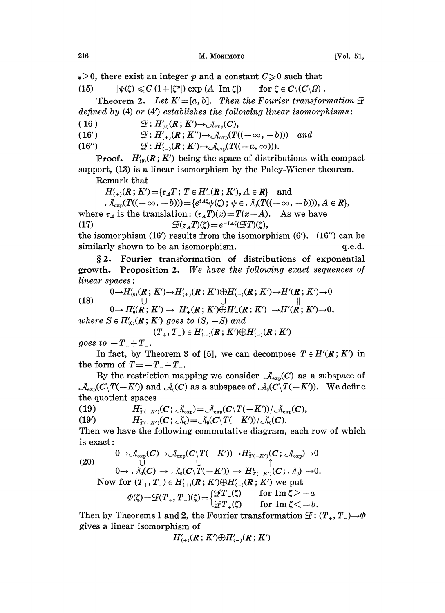$\varepsilon > 0$ , there exist an integer p and a constant  $C \geq 0$  such that

(15)  $|\psi(\zeta)| \leqslant C (1+|\zeta^p|) \exp(A |\operatorname{Im} \zeta|)$  for  $\zeta \in C \setminus (C \setminus \Omega)$ .

Theorem 2. Let  $K'=[a, b]$ . Then the Fourier transformation  $\mathcal F$ defined by  $(4)$  or  $(4')$  establishes the following linear isomorphisms:

( 16 )  $\mathcal{F}: H'_{(0)}(R; K') \rightarrow \mathcal{A}_{\text{syn}}(C),$ 

(16')  $\mathcal{F}: H'_{(+)}(R; K'') \rightarrow \mathcal{A}_{\exp}(T((-\infty, -b)))$  and

(16'')  $\mathcal{F}: H'_{(-)}(R; K') \to \mathcal{A}_{\exp}(T((-a, \infty))).$ 

**Proof.**  $H'_{(0)}(R; K')$  being the space of distributions with compact support, (13) is a linear isomorphism by the Paley-Wiener theorem.

Remark that

 $H'_{(+)}(R; K') = {\tau_A T; T \in H'_{+}(R; K'), A \in R}$  and

 $(\mathcal{A}_{\exp}(T((-\infty,-b))) = \{e^{iA\zeta}\psi(\zeta) \; ; \; \psi \in \mathcal{A}_0(T((-\infty,-b))), A \in \mathbb{R}\},\$ where  $\tau_A$  is the translation:  $(\tau_A T)(x) = T(x-A)$ . As we have (17)  $\mathcal{F}(\tau_A T)(\zeta) = e^{-iA\zeta}(\mathcal{F}T)(\zeta),$ 

the isomorphism  $(16')$  results from the isomorphism  $(6')$ .  $(16'')$  can be similarly shown to be an isomorphism.  $q.e.d.$ 

2. Fourier transformation of distributions of exponential growth. Proposition 2. We have the following exact sequences of linear spaces:

(18) 
$$
0 \rightarrow H'_{(0)}(R; K') \rightarrow H'_{(+)}(R; K') \oplus H'_{(-)}(R; K') \rightarrow H'(R; K') \rightarrow 0
$$
  
\n
$$
0 \rightarrow H'_{0}(R; K') \rightarrow H'_{+}(R; K') \oplus H'_{-}(R; K') \rightarrow H'(R; K') \rightarrow 0,
$$

where  $S \in H'_{(0)}(R; K')$  goes to  $(S, -S)$  and

$$
(T_+, T_-) \in H'_{(+)}(R\,;\, K') \oplus H'_{(-)}(R\,;\, K')
$$

goes to  $-T_{+} + T_{-}$ .

In fact, by Theorem 3 of [5], we can decompose  $T \in H'(\mathbb{R}; K')$  in the form of  $T = -T_+ + T_-$ .

By the restriction mapping we consider  $\mathcal{A}_{\text{exp}}(C)$  as a subspace of  $\mathcal{A}_{\text{exp}}(C\backslash T(-K))$  and  $\mathcal{A}_{0}(C)$  as a subspace of  $\mathcal{A}_{0}(C\backslash T(-K))$ . We define the quotient spaces

$$
(19) \hspace{3.1em} H^1_{T(-K')}(C\, ; \, \mathcal{A}_{\exp})\!=\! \mathcal{A}_{\exp}(C\backslash T(-K'))/ \, \mathcal{A}_{\exp}(C),
$$

(19')  $H^1_{T(-K')}(C; \mathcal{A}_0) = \mathcal{A}_0(C\setminus T(-K')) / \mathcal{A}_0(C).$ 

Then we have the following commutative diagram, each row of which is exact:

(20)  
\n
$$
\begin{array}{ccc}\n0 \to \mathcal{A}_{\exp}(C) \to \mathcal{A}_{\exp}(C \setminus T(-K')) \to H^1_{T(-K')}(C; \mathcal{A}_{\exp}) \to 0 \\
\cup & \cup & \uparrow \\
0 \to \mathcal{A}_0(C) \to \mathcal{A}_0(C \setminus T(-K')) \to H^1_{T(-K')}(C; \mathcal{A}_0) \to 0.\n\end{array}
$$
\nNow for  $(T_+, T_-) \in H'_{(+)}(R; K') \oplus H'_{(-)}(R; K')$  we put  
\n
$$
\Phi(\zeta) = \mathcal{F}(T_+, T_-)(\zeta) = \begin{cases} \mathcal{F}T_-(\zeta) & \text{for } \text{Im } \zeta > -a \\
\mathcal{F}T_+(\zeta) & \text{for } \text{Im } \zeta < -b. \end{cases}
$$

Then by Theorems 1 and 2, the Fourier transformation  $\mathcal{F}: (T_+, T_-) \to \Phi$ <br>gives a linear isomorphism of gives a linear isomorphism of

$$
H'_{(+)}(R;K')\oplus H'_{(-)}(R;K')
$$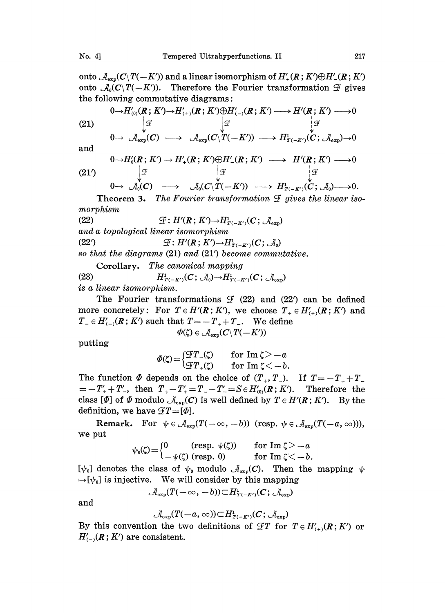onto  $\mathcal{A}_{\exp}(C\backslash T(-K'))$  and a linear isomorphism of  $H'_{+}(R; K')\oplus H'_{-}(R; K')$ onto  $\mathcal{A}_0(C\backslash T(-K'))$ . Therefore the Fourier transformation  $\mathcal F$  gives the following commutative diagrams:

(21)  
\n
$$
\begin{array}{ccc}\n0 \to H'_{(0)}(R; K') \to H'_{(+)}(R; K') \oplus H'_{(-)}(R; K') \longrightarrow H'(R; K') \longrightarrow 0 \\
\downarrow \mathcal{F} & \downarrow \mathcal{F} & \downarrow \mathcal{F} \\
0 \to \mathcal{A}_{\exp}(C) \longrightarrow \mathcal{A}_{\exp}(C \setminus T(-K')) \longrightarrow H'_{T(-K')}(C; \mathcal{A}_{\exp}) \to 0\n\end{array}
$$

and

(21') 
$$
\downarrow^{0} H_0(R; K') \rightarrow H_+^{\prime}(R; K') \oplus H_-^{\prime}(R; K') \longrightarrow H^{\prime}(R; K') \longrightarrow 0
$$

$$
\downarrow^{2} \downarrow^{2}
$$

$$
0 \to \mathcal{A}_0(C) \longrightarrow \mathcal{A}_0(C \setminus T(-K')) \longrightarrow H^1_{T(-K')}(C; \mathcal{A}_0) \longrightarrow 0.
$$

Theorem 3. The Fourier transformation  $\mathcal F$  gives the linear isomorphism

(22) (22)  $\mathcal{F}: H(K;K) \rightarrow H_2$ <br>and a topological linear isomorphism  $\mathfrak{F}: H'(\mathbf{R};K') \rightarrow H^1_{T(-K')}(C; \mathcal{A}_{\mathrm{exp}})$ (22')  $\mathcal{L}: H'(\mathbf{R};K') \rightarrow H^1_{T(-K')}(C;\mathcal{A}_0)$ <br>so that the diagrams (21) and (21') become commutative.  $\mathcal{F}: H'(\mathbf{R}; K') \rightarrow H^1_{T(-K')}(C; \mathcal{A}_0)$ 

Corollary, The canonical mapping (23)  $H^1_{T(-K')}(C; \mathcal{A}_0) \rightarrow H^1_{T(-K')}(C; \mathcal{A}_{\text{exp}})$ is a linear isomorphism.

The Fourier transformations  $\mathcal{F}$  (22) and (22') can be defined more concretely: For  $T \in H'(\mathbf{R}; K')$ , we choose  $T_+ \in H'_{(+)}(\mathbf{R}; K')$  and  $T_{-} \in H_{\langle -\rangle}^{\prime}(\mathbf{\mathit{R}}\,;\,K^{\prime})$  such that  $T\!=\!-T_{+} + T_{-}.$  We define

$$
\Phi(\zeta) \in \mathcal{A}_{\exp}(\mathcal{C} \backslash T(-K'))
$$

putting

$$
\varPhi(\zeta)\!=\!\begin{cases}\!\mathcal{F}T_-(\zeta)\quad&\text{for\,Im}\;\zeta\!>-\!a\\\!\mathcal{F}T_+(\zeta)\quad&\text{for\,Im}\;\zeta\!<\!-b.\end{cases}
$$

The function  $\Phi$  depends on the choice of  $(T_*, T_-)$ . If  $T=-T_++T_ T = -T'_{+} + T'_{-}$ , then  $T_{+} - T'_{+} = T_{-} - T'_{-} = S \in H'_{(0)}(R; K')$ . Therefore the class [ $\Phi$ ] of  $\Phi$  modulo  $\mathcal{A}_{\exp}(\mathbf{C})$  is well defined by  $T \in H'(\mathbf{R}; K')$ . By the definition, we have  $\mathcal{T}=[\varPhi].$ 

Remark. For  $\psi \in \mathcal{A}_{\exp}(T(-\infty, -b))$  (resp.  $\psi \in \mathcal{A}_{\exp}(T(-a, \infty)))$ ), we put

$$
\psi_0(\zeta) = \begin{cases} 0 & \text{(resp. } \psi(\zeta)) & \text{for } \text{Im } \zeta > -a \\ -\psi(\zeta) & \text{(resp. } 0) & \text{for } \text{Im } \zeta < -b. \end{cases}
$$

 $[\psi_0]$  denotes the class of  $\psi_0$  modulo  $\mathcal{A}_{\text{exp}}(C)$ . Then the mapping  $\psi$  $[\psi_{0}]$  is injective. We will consider by this mapping<br>  $\mathcal{A}_{exp}(T(-\infty, -b)) \subset H_{T(-K')}^1(\mathcal{C}; \mathcal{A}_{exp})$ 

$$
\mathcal{A}_{\operatorname{exp}}(T(-\infty,-b))\!\!\subset\! H^1_{T(-K')}( {\boldsymbol{C}}; \mathcal{A}_{\operatorname{exp}})
$$

and

$$
\mathcal{A}_{\exp}(T(-a,\infty))\!\subset\! H^1_{T(-K')}(C;\, \mathcal{A}_{\exp})
$$

By this convention the two definitions of  $\mathscr{F}T$  for  $T \in H'_{(+)}(R;K')$  or  $H'_{(-)}(R; K')$  are consistent.